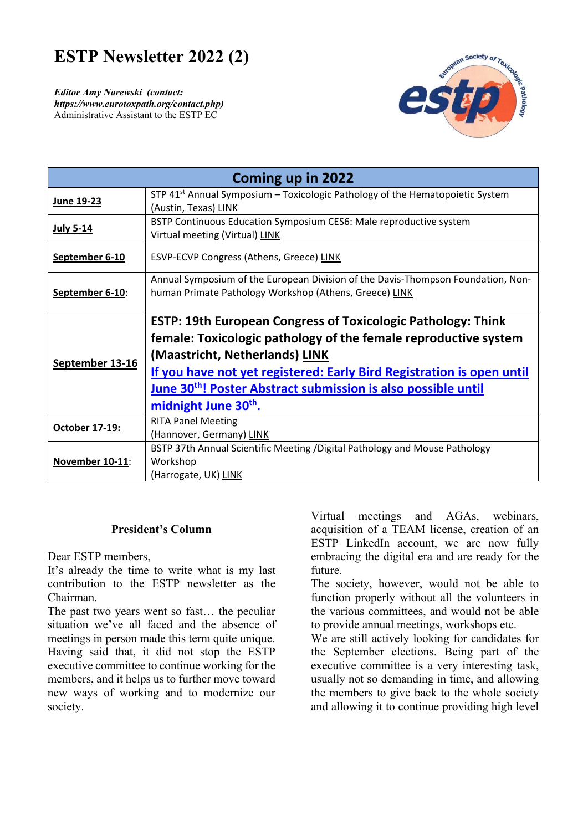# **ESTP Newsletter 2022 (2)**

*Editor Amy Narewski (contact: https://www.eurotoxpath.org/contact.php)*  Administrative Assistant to the ESTP EC



| Coming up in 2022     |                                                                                                         |
|-----------------------|---------------------------------------------------------------------------------------------------------|
| June 19-23            | STP $41st$ Annual Symposium – Toxicologic Pathology of the Hematopoietic System<br>(Austin, Texas) LINK |
|                       |                                                                                                         |
| <b>July 5-14</b>      | BSTP Continuous Education Symposium CES6: Male reproductive system                                      |
|                       | Virtual meeting (Virtual) LINK                                                                          |
| September 6-10        | ESVP-ECVP Congress (Athens, Greece) LINK                                                                |
| September 6-10:       | Annual Symposium of the European Division of the Davis-Thompson Foundation, Non-                        |
|                       | human Primate Pathology Workshop (Athens, Greece) LINK                                                  |
|                       |                                                                                                         |
| September 13-16       | <b>ESTP: 19th European Congress of Toxicologic Pathology: Think</b>                                     |
|                       | female: Toxicologic pathology of the female reproductive system                                         |
|                       | (Maastricht, Netherlands) LINK                                                                          |
|                       | If you have not yet registered: Early Bird Registration is open until                                   |
|                       | June 30 <sup>th</sup> ! Poster Abstract submission is also possible until                               |
|                       | midnight June 30 <sup>th</sup> .                                                                        |
| <b>October 17-19:</b> | <b>RITA Panel Meeting</b>                                                                               |
|                       | (Hannover, Germany) LINK                                                                                |
| November 10-11:       | BSTP 37th Annual Scientific Meeting / Digital Pathology and Mouse Pathology                             |
|                       | Workshop                                                                                                |
|                       | (Harrogate, UK) LINK                                                                                    |

#### **President's Column**

Dear ESTP members,

It's already the time to write what is my last contribution to the ESTP newsletter as the Chairman.

The past two years went so fast… the peculiar situation we've all faced and the absence of meetings in person made this term quite unique. Having said that, it did not stop the ESTP executive committee to continue working for the members, and it helps us to further move toward new ways of working and to modernize our society.

Virtual meetings and AGAs, webinars, acquisition of a TEAM license, creation of an ESTP LinkedIn account, we are now fully embracing the digital era and are ready for the future.

The society, however, would not be able to function properly without all the volunteers in the various committees, and would not be able to provide annual meetings, workshops etc.

We are still actively looking for candidates for the September elections. Being part of the executive committee is a very interesting task, usually not so demanding in time, and allowing the members to give back to the whole society and allowing it to continue providing high level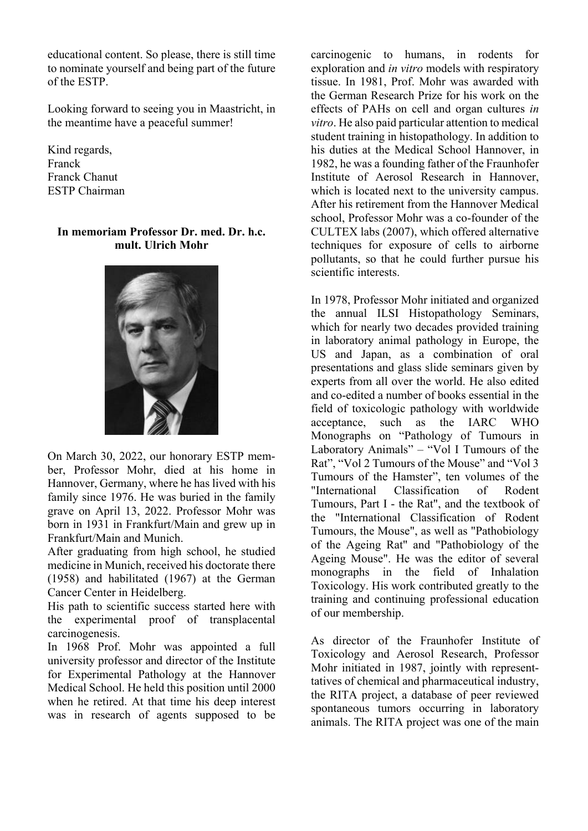educational content. So please, there is still time to nominate yourself and being part of the future of the ESTP.

Looking forward to seeing you in Maastricht, in the meantime have a peaceful summer!

Kind regards, Franck Franck Chanut ESTP Chairman

#### **In memoriam Professor Dr. med. Dr. h.c. mult. Ulrich Mohr**



On March 30, 2022, our honorary ESTP member, Professor Mohr, died at his home in Hannover, Germany, where he has lived with his family since 1976. He was buried in the family grave on April 13, 2022. Professor Mohr was born in 1931 in Frankfurt/Main and grew up in Frankfurt/Main and Munich.

After graduating from high school, he studied medicine in Munich, received his doctorate there (1958) and habilitated (1967) at the German Cancer Center in Heidelberg.

His path to scientific success started here with the experimental proof of transplacental carcinogenesis.

In 1968 Prof. Mohr was appointed a full university professor and director of the Institute for Experimental Pathology at the Hannover Medical School. He held this position until 2000 when he retired. At that time his deep interest was in research of agents supposed to be

carcinogenic to humans, in rodents for exploration and *in vitro* models with respiratory tissue. In 1981, Prof. Mohr was awarded with the German Research Prize for his work on the effects of PAHs on cell and organ cultures *in vitro*. He also paid particular attention to medical student training in histopathology. In addition to his duties at the Medical School Hannover, in 1982, he was a founding father of the Fraunhofer Institute of Aerosol Research in Hannover, which is located next to the university campus. After his retirement from the Hannover Medical school, Professor Mohr was a co-founder of the CULTEX labs (2007), which offered alternative techniques for exposure of cells to airborne pollutants, so that he could further pursue his scientific interests.

In 1978, Professor Mohr initiated and organized the annual ILSI Histopathology Seminars, which for nearly two decades provided training in laboratory animal pathology in Europe, the US and Japan, as a combination of oral presentations and glass slide seminars given by experts from all over the world. He also edited and co-edited a number of books essential in the field of toxicologic pathology with worldwide acceptance, such as the IARC WHO Monographs on "Pathology of Tumours in Laboratory Animals" – "Vol I Tumours of the Rat", "Vol 2 Tumours of the Mouse" and "Vol 3 Tumours of the Hamster", ten volumes of the "International Classification of Rodent Tumours, Part I - the Rat", and the textbook of the "International Classification of Rodent Tumours, the Mouse", as well as "Pathobiology of the Ageing Rat" and "Pathobiology of the Ageing Mouse". He was the editor of several monographs in the field of Inhalation Toxicology. His work contributed greatly to the training and continuing professional education of our membership.

As director of the Fraunhofer Institute of Toxicology and Aerosol Research, Professor Mohr initiated in 1987, jointly with representtatives of chemical and pharmaceutical industry, the RITA project, a database of peer reviewed spontaneous tumors occurring in laboratory animals. The RITA project was one of the main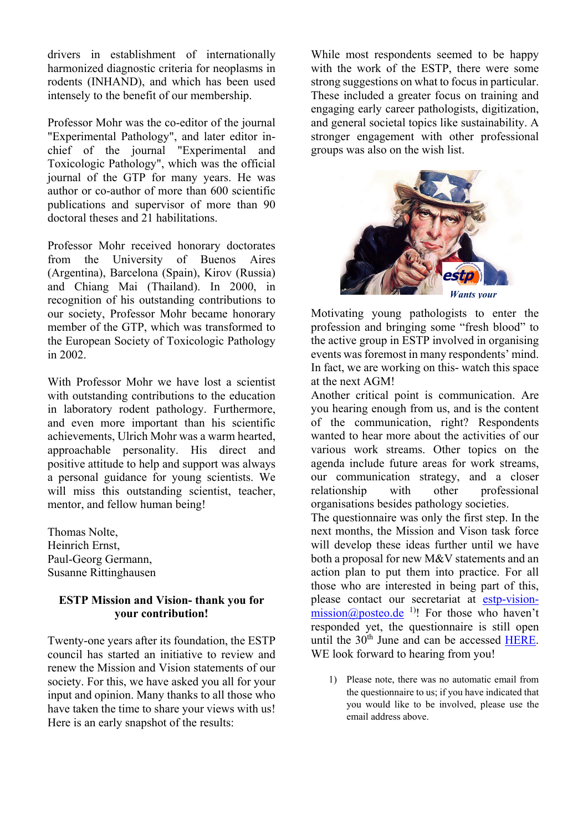drivers in establishment of internationally harmonized diagnostic criteria for neoplasms in rodents (INHAND), and which has been used intensely to the benefit of our membership.

Professor Mohr was the co-editor of the journal "Experimental Pathology", and later editor inchief of the journal "Experimental and Toxicologic Pathology", which was the official journal of the GTP for many years. He was author or co-author of more than 600 scientific publications and supervisor of more than 90 doctoral theses and 21 habilitations.

Professor Mohr received honorary doctorates from the University of Buenos Aires (Argentina), Barcelona (Spain), Kirov (Russia) and Chiang Mai (Thailand). In 2000, in recognition of his outstanding contributions to our society, Professor Mohr became honorary member of the GTP, which was transformed to the European Society of Toxicologic Pathology in 2002.

With Professor Mohr we have lost a scientist with outstanding contributions to the education in laboratory rodent pathology. Furthermore, and even more important than his scientific achievements, Ulrich Mohr was a warm hearted, approachable personality. His direct and positive attitude to help and support was always a personal guidance for young scientists. We will miss this outstanding scientist, teacher, mentor, and fellow human being!

Thomas Nolte, Heinrich Ernst, Paul-Georg Germann, Susanne Rittinghausen

#### **ESTP Mission and Vision- thank you for your contribution!**

Twenty-one years after its foundation, the ESTP council has started an initiative to review and renew the Mission and Vision statements of our society. For this, we have asked you all for your input and opinion. Many thanks to all those who have taken the time to share your views with us! Here is an early snapshot of the results:

While most respondents seemed to be happy with the work of the ESTP, there were some strong suggestions on what to focus in particular. These included a greater focus on training and engaging early career pathologists, digitization, and general societal topics like sustainability. A stronger engagement with other professional groups was also on the wish list.



Motivating young pathologists to enter the profession and bringing some "fresh blood" to the active group in ESTP involved in organising events was foremost in many respondents' mind. In fact, we are working on this- watch this space at the next AGM!

Another critical point is communication. Are you hearing enough from us, and is the content of the communication, right? Respondents wanted to hear more about the activities of our various work streams. Other topics on the agenda include future areas for work streams, our communication strategy, and a closer relationship with other professional organisations besides pathology societies.

The questionnaire was only the first step. In the next months, the Mission and Vison task force will develop these ideas further until we have both a proposal for new M&V statements and an action plan to put them into practice. For all those who are interested in being part of this, please contact our secretariat at estp-visionmission@posteo.de<sup>1)</sup>! For those who haven't responded yet, the questionnaire is still open until the 30<sup>th</sup> June and can be accessed HERE. WE look forward to hearing from you!

1) Please note, there was no automatic email from the questionnaire to us; if you have indicated that you would like to be involved, please use the email address above.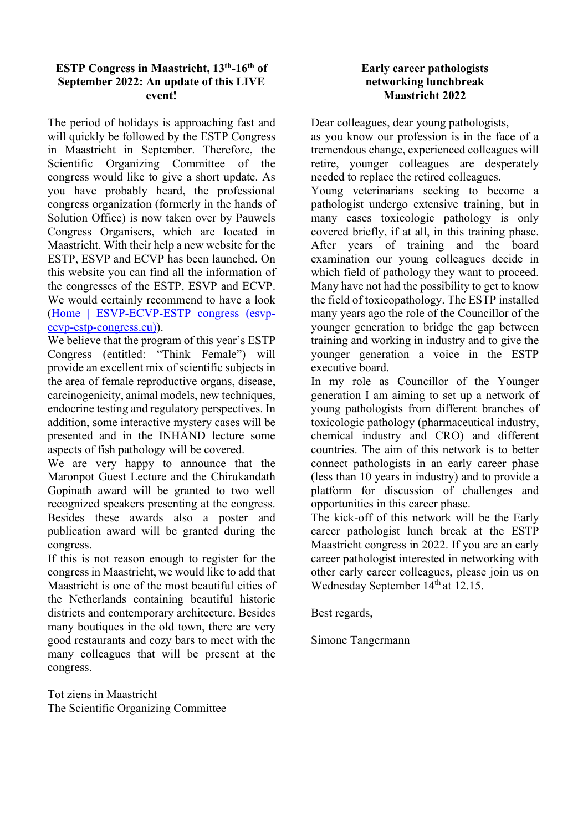#### **ESTP Congress in Maastricht, 13th-16th of September 2022: An update of this LIVE event!**

The period of holidays is approaching fast and will quickly be followed by the ESTP Congress in Maastricht in September. Therefore, the Scientific Organizing Committee of the congress would like to give a short update. As you have probably heard, the professional congress organization (formerly in the hands of Solution Office) is now taken over by Pauwels Congress Organisers, which are located in Maastricht. With their help a new website for the ESTP, ESVP and ECVP has been launched. On this website you can find all the information of the congresses of the ESTP, ESVP and ECVP. We would certainly recommend to have a look (Home | ESVP-ECVP-ESTP congress (esvpecvp-estp-congress.eu)).

We believe that the program of this year's ESTP Congress (entitled: "Think Female") will provide an excellent mix of scientific subjects in the area of female reproductive organs, disease, carcinogenicity, animal models, new techniques, endocrine testing and regulatory perspectives. In addition, some interactive mystery cases will be presented and in the INHAND lecture some aspects of fish pathology will be covered.

We are very happy to announce that the Maronpot Guest Lecture and the Chirukandath Gopinath award will be granted to two well recognized speakers presenting at the congress. Besides these awards also a poster and publication award will be granted during the congress.

If this is not reason enough to register for the congress in Maastricht, we would like to add that Maastricht is one of the most beautiful cities of the Netherlands containing beautiful historic districts and contemporary architecture. Besides many boutiques in the old town, there are very good restaurants and cozy bars to meet with the many colleagues that will be present at the congress.

Tot ziens in Maastricht The Scientific Organizing Committee

#### **Early career pathologists networking lunchbreak Maastricht 2022**

Dear colleagues, dear young pathologists,

as you know our profession is in the face of a tremendous change, experienced colleagues will retire, younger colleagues are desperately needed to replace the retired colleagues.

Young veterinarians seeking to become a pathologist undergo extensive training, but in many cases toxicologic pathology is only covered briefly, if at all, in this training phase. After years of training and the board examination our young colleagues decide in which field of pathology they want to proceed. Many have not had the possibility to get to know the field of toxicopathology. The ESTP installed many years ago the role of the Councillor of the younger generation to bridge the gap between training and working in industry and to give the younger generation a voice in the ESTP executive board.

In my role as Councillor of the Younger generation I am aiming to set up a network of young pathologists from different branches of toxicologic pathology (pharmaceutical industry, chemical industry and CRO) and different countries. The aim of this network is to better connect pathologists in an early career phase (less than 10 years in industry) and to provide a platform for discussion of challenges and opportunities in this career phase.

The kick-off of this network will be the Early career pathologist lunch break at the ESTP Maastricht congress in 2022. If you are an early career pathologist interested in networking with other early career colleagues, please join us on Wednesday September 14<sup>th</sup> at 12.15.

Best regards,

Simone Tangermann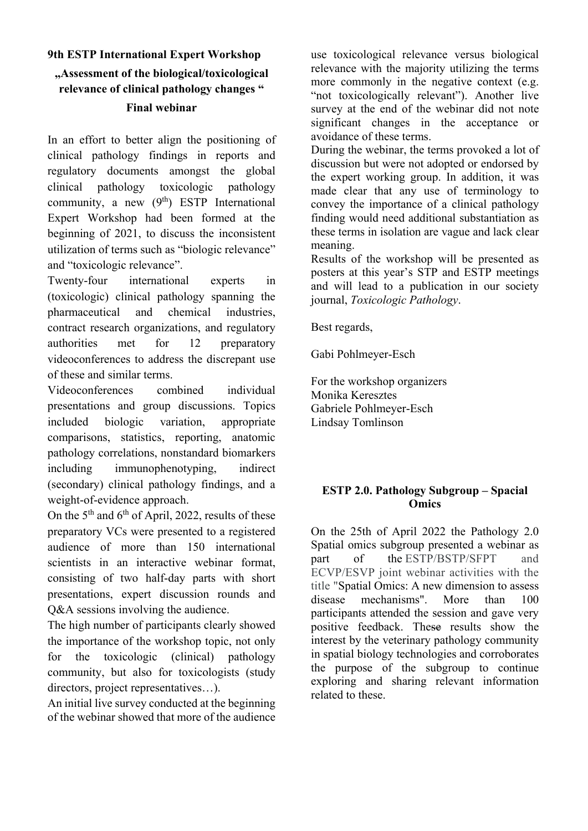# **9th ESTP International Expert Workshop "Assessment of the biological/toxicological relevance of clinical pathology changes " Final webinar**

In an effort to better align the positioning of clinical pathology findings in reports and regulatory documents amongst the global clinical pathology toxicologic pathology community, a new  $(9<sup>th</sup>)$  ESTP International Expert Workshop had been formed at the beginning of 2021, to discuss the inconsistent utilization of terms such as "biologic relevance" and "toxicologic relevance".

Twenty-four international experts in (toxicologic) clinical pathology spanning the pharmaceutical and chemical industries, contract research organizations, and regulatory authorities met for 12 preparatory videoconferences to address the discrepant use of these and similar terms.

Videoconferences combined individual presentations and group discussions. Topics included biologic variation, appropriate comparisons, statistics, reporting, anatomic pathology correlations, nonstandard biomarkers including immunophenotyping, indirect (secondary) clinical pathology findings, and a weight-of-evidence approach.

On the  $5<sup>th</sup>$  and  $6<sup>th</sup>$  of April, 2022, results of these preparatory VCs were presented to a registered audience of more than 150 international scientists in an interactive webinar format, consisting of two half-day parts with short presentations, expert discussion rounds and Q&A sessions involving the audience.

The high number of participants clearly showed the importance of the workshop topic, not only for the toxicologic (clinical) pathology community, but also for toxicologists (study directors, project representatives…).

An initial live survey conducted at the beginning of the webinar showed that more of the audience

use toxicological relevance versus biological relevance with the majority utilizing the terms more commonly in the negative context (e.g. "not toxicologically relevant"). Another live survey at the end of the webinar did not note significant changes in the acceptance or avoidance of these terms.

During the webinar, the terms provoked a lot of discussion but were not adopted or endorsed by the expert working group. In addition, it was made clear that any use of terminology to convey the importance of a clinical pathology finding would need additional substantiation as these terms in isolation are vague and lack clear meaning.

Results of the workshop will be presented as posters at this year's STP and ESTP meetings and will lead to a publication in our society journal, *Toxicologic Pathology*.

Best regards,

Gabi Pohlmeyer-Esch

For the workshop organizers Monika Keresztes Gabriele Pohlmeyer-Esch Lindsay Tomlinson

## **ESTP 2.0. Pathology Subgroup – Spacial Omics**

On the 25th of April 2022 the Pathology 2.0 Spatial omics subgroup presented a webinar as part of the ESTP/BSTP/SFPT and ECVP/ESVP joint webinar activities with the title "Spatial Omics: A new dimension to assess disease mechanisms". More than 100 participants attended the session and gave very positive feedback. These results show the interest by the veterinary pathology community in spatial biology technologies and corroborates the purpose of the subgroup to continue exploring and sharing relevant information related to these.